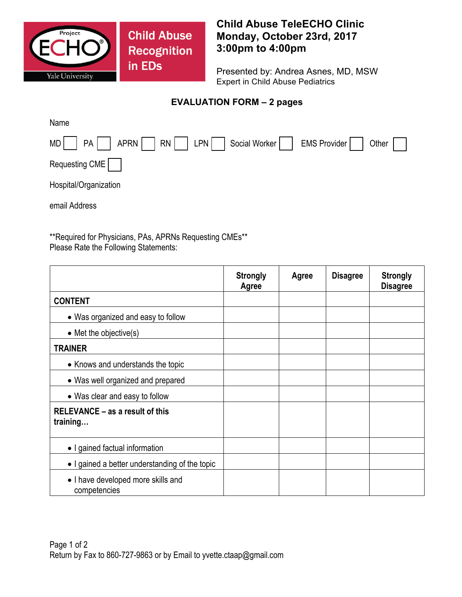

**Child Abuse Recognition** in EDs

## **Child Abuse TeleECHO Clinic Monday, October 23rd, 2017 3:00pm to 4:00pm**

Presented by: Andrea Asnes, MD, MSW Expert in Child Abuse Pediatrics

## **EVALUATION FORM – 2 pages**

| Name                                                             |
|------------------------------------------------------------------|
| MD   PA   APRN   RN   LPN   Social Worker   EMS Provider   Other |
| Requesting CME                                                   |
| Hospital/Organization                                            |
| email Address                                                    |

\*\*Required for Physicians, PAs, APRNs Requesting CMEs\*\* Please Rate the Following Statements:

|                                                    | <b>Strongly</b><br>Agree | Agree | <b>Disagree</b> | <b>Strongly</b><br><b>Disagree</b> |
|----------------------------------------------------|--------------------------|-------|-----------------|------------------------------------|
| <b>CONTENT</b>                                     |                          |       |                 |                                    |
| • Was organized and easy to follow                 |                          |       |                 |                                    |
| $\bullet$ Met the objective(s)                     |                          |       |                 |                                    |
| <b>TRAINER</b>                                     |                          |       |                 |                                    |
| • Knows and understands the topic                  |                          |       |                 |                                    |
| • Was well organized and prepared                  |                          |       |                 |                                    |
| • Was clear and easy to follow                     |                          |       |                 |                                    |
| RELEVANCE – as a result of this<br>training        |                          |       |                 |                                    |
| • I gained factual information                     |                          |       |                 |                                    |
| • I gained a better understanding of the topic     |                          |       |                 |                                    |
| • I have developed more skills and<br>competencies |                          |       |                 |                                    |